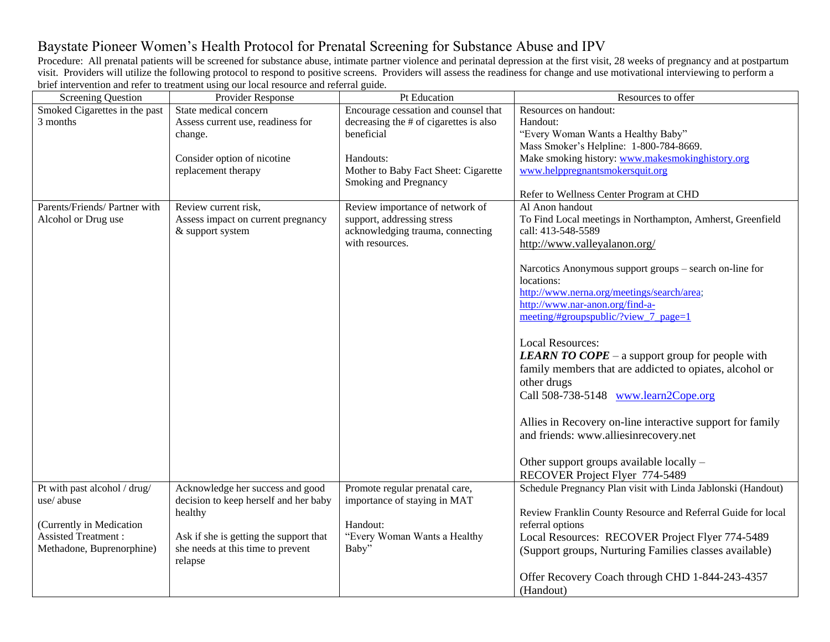## Baystate Pioneer Women's Health Protocol for Prenatal Screening for Substance Abuse and IPV

Procedure: All prenatal patients will be screened for substance abuse, intimate partner violence and perinatal depression at the first visit, 28 weeks of pregnancy and at postpartum visit. Providers will utilize the following protocol to respond to positive screens. Providers will assess the readiness for change and use motivational interviewing to perform a brief intervention and refer to treatment using our local resource and referral guide.

| <b>Screening Question</b>     | Provider Response                      | Pt Education                           | Resources to offer                                           |
|-------------------------------|----------------------------------------|----------------------------------------|--------------------------------------------------------------|
| Smoked Cigarettes in the past | State medical concern                  | Encourage cessation and counsel that   | Resources on handout:                                        |
| 3 months                      | Assess current use, readiness for      | decreasing the # of cigarettes is also | Handout:                                                     |
|                               | change.                                | beneficial                             | "Every Woman Wants a Healthy Baby"                           |
|                               |                                        |                                        | Mass Smoker's Helpline: 1-800-784-8669.                      |
|                               | Consider option of nicotine            | Handouts:                              | Make smoking history: www.makesmokinghistory.org             |
|                               | replacement therapy                    | Mother to Baby Fact Sheet: Cigarette   | www.helppregnantsmokersquit.org                              |
|                               |                                        | Smoking and Pregnancy                  | Refer to Wellness Center Program at CHD                      |
| Parents/Friends/ Partner with | Review current risk,                   | Review importance of network of        | Al Anon handout                                              |
| Alcohol or Drug use           | Assess impact on current pregnancy     | support, addressing stress             | To Find Local meetings in Northampton, Amherst, Greenfield   |
|                               | & support system                       | acknowledging trauma, connecting       | call: 413-548-5589                                           |
|                               |                                        | with resources.                        | http://www.valleyalanon.org/                                 |
|                               |                                        |                                        |                                                              |
|                               |                                        |                                        | Narcotics Anonymous support groups – search on-line for      |
|                               |                                        |                                        | locations:                                                   |
|                               |                                        |                                        | http://www.nerna.org/meetings/search/area;                   |
|                               |                                        |                                        | http://www.nar-anon.org/find-a-                              |
|                               |                                        |                                        | meeting/#groupspublic/?view_7_page=1                         |
|                               |                                        |                                        |                                                              |
|                               |                                        |                                        | <b>Local Resources:</b>                                      |
|                               |                                        |                                        | <b>LEARN TO COPE</b> – a support group for people with       |
|                               |                                        |                                        | family members that are addicted to opiates, alcohol or      |
|                               |                                        |                                        | other drugs                                                  |
|                               |                                        |                                        | Call 508-738-5148 www.learn2Cope.org                         |
|                               |                                        |                                        | Allies in Recovery on-line interactive support for family    |
|                               |                                        |                                        | and friends: www.alliesinrecovery.net                        |
|                               |                                        |                                        |                                                              |
|                               |                                        |                                        | Other support groups available locally -                     |
|                               |                                        |                                        | RECOVER Project Flyer 774-5489                               |
| Pt with past alcohol / drug/  | Acknowledge her success and good       | Promote regular prenatal care,         | Schedule Pregnancy Plan visit with Linda Jablonski (Handout) |
| use/abuse                     | decision to keep herself and her baby  | importance of staying in MAT           |                                                              |
|                               | healthy                                |                                        | Review Franklin County Resource and Referral Guide for local |
| (Currently in Medication      |                                        | Handout:                               | referral options                                             |
| <b>Assisted Treatment:</b>    | Ask if she is getting the support that | "Every Woman Wants a Healthy           | Local Resources: RECOVER Project Flyer 774-5489              |
| Methadone, Buprenorphine)     | she needs at this time to prevent      | Baby"                                  | (Support groups, Nurturing Families classes available)       |
|                               | relapse                                |                                        |                                                              |
|                               |                                        |                                        | Offer Recovery Coach through CHD 1-844-243-4357              |
|                               |                                        |                                        | (Handout)                                                    |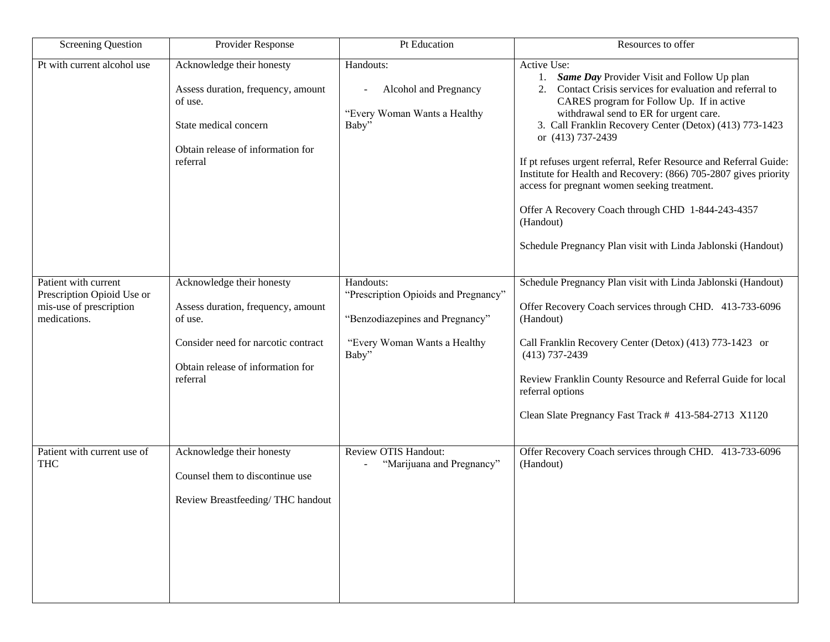| <b>Screening Question</b>                                                                     | Provider Response                                                                                                                                                  | Pt Education                                                                                                                  | Resources to offer                                                                                                                                                                                                                                                                                                                                                                                                                                                                                                                                                                                                                |
|-----------------------------------------------------------------------------------------------|--------------------------------------------------------------------------------------------------------------------------------------------------------------------|-------------------------------------------------------------------------------------------------------------------------------|-----------------------------------------------------------------------------------------------------------------------------------------------------------------------------------------------------------------------------------------------------------------------------------------------------------------------------------------------------------------------------------------------------------------------------------------------------------------------------------------------------------------------------------------------------------------------------------------------------------------------------------|
| Pt with current alcohol use                                                                   | Acknowledge their honesty<br>Assess duration, frequency, amount<br>of use.<br>State medical concern<br>Obtain release of information for<br>referral               | Handouts:<br>Alcohol and Pregnancy<br>"Every Woman Wants a Healthy<br>Baby"                                                   | Active Use:<br>Same Day Provider Visit and Follow Up plan<br>1.<br>Contact Crisis services for evaluation and referral to<br>2.<br>CARES program for Follow Up. If in active<br>withdrawal send to ER for urgent care.<br>3. Call Franklin Recovery Center (Detox) (413) 773-1423<br>or (413) 737-2439<br>If pt refuses urgent referral, Refer Resource and Referral Guide:<br>Institute for Health and Recovery: (866) 705-2807 gives priority<br>access for pregnant women seeking treatment.<br>Offer A Recovery Coach through CHD 1-844-243-4357<br>(Handout)<br>Schedule Pregnancy Plan visit with Linda Jablonski (Handout) |
| Patient with current<br>Prescription Opioid Use or<br>mis-use of prescription<br>medications. | Acknowledge their honesty<br>Assess duration, frequency, amount<br>of use.<br>Consider need for narcotic contract<br>Obtain release of information for<br>referral | Handouts:<br>"Prescription Opioids and Pregnancy"<br>"Benzodiazepines and Pregnancy"<br>"Every Woman Wants a Healthy<br>Baby" | Schedule Pregnancy Plan visit with Linda Jablonski (Handout)<br>Offer Recovery Coach services through CHD. 413-733-6096<br>(Handout)<br>Call Franklin Recovery Center (Detox) (413) 773-1423 or<br>$(413)$ 737-2439<br>Review Franklin County Resource and Referral Guide for local<br>referral options<br>Clean Slate Pregnancy Fast Track # 413-584-2713 X1120                                                                                                                                                                                                                                                                  |
| Patient with current use of<br><b>THC</b>                                                     | Acknowledge their honesty<br>Counsel them to discontinue use<br>Review Breastfeeding/THC handout                                                                   | <b>Review OTIS Handout:</b><br>"Marijuana and Pregnancy"                                                                      | Offer Recovery Coach services through CHD. 413-733-6096<br>(Handout)                                                                                                                                                                                                                                                                                                                                                                                                                                                                                                                                                              |